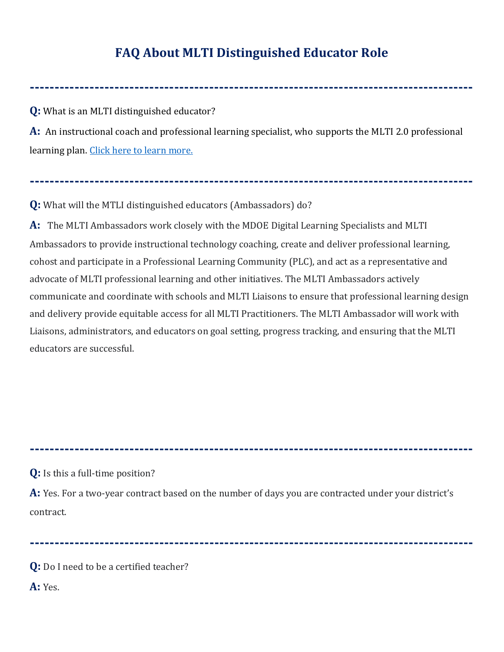## **FAQ About MLTI Distinguished Educator Role**

**-----------------------------------------------------------------------------------------**

**Q:** What is an MLTI distinguished educator?

**A:** An instructional coach and professional learning specialist, who supports the MLTI 2.0 professional learning plan. [Click here to learn more.](https://www.maine.gov/doe/learning/ltt/mlti/prolearning/ambassadors)

**-----------------------------------------------------------------------------------------**

**Q:** What will the MTLI distinguished educators (Ambassadors) do?

**A:** The MLTI Ambassadors work closely with the MDOE Digital Learning Specialists and MLTI Ambassadors to provide instructional technology coaching, create and deliver professional learning, cohost and participate in a Professional Learning Community (PLC), and act as a representative and advocate of MLTI professional learning and other initiatives. The MLTI Ambassadors actively communicate and coordinate with schools and MLTI Liaisons to ensure that professional learning design and delivery provide equitable access for all MLTI Practitioners. The MLTI Ambassador will work with Liaisons, administrators, and educators on goal setting, progress tracking, and ensuring that the MLTI educators are successful.

**Q:** Is this a full-time position?

**A:** Yes. For a two-year contract based on the number of days you are contracted under your district's contract.

**-----------------------------------------------------------------------------------------**

**-----------------------------------------------------------------------------------------**

**Q:** Do I need to be a certified teacher?

**A:** Yes.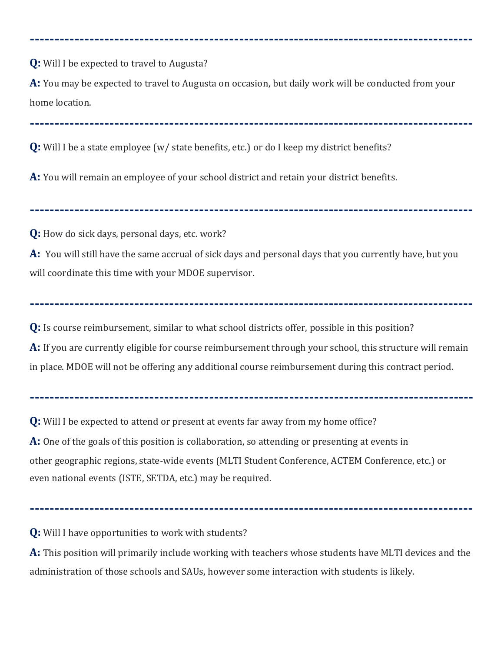**Q:** Will I be expected to travel to Augusta?

**A:** You may be expected to travel to Augusta on occasion, but daily work will be conducted from your home location.

**-----------------------------------------------------------------------------------------**

**-----------------------------------------------------------------------------------------**

**Q:** Will I be a state employee (w/ state benefits, etc.) or do I keep my district benefits?

**A:** You will remain an employee of your school district and retain your district benefits.

**Q:** How do sick days, personal days, etc. work?

**A:** You will still have the same accrual of sick days and personal days that you currently have, but you will coordinate this time with your MDOE supervisor.

**-----------------------------------------------------------------------------------------**

**Q:** Is course reimbursement, similar to what school districts offer, possible in this position? **A:** If you are currently eligible for course reimbursement through your school, this structure will remain in place. MDOE will not be offering any additional course reimbursement during this contract period.

**-----------------------------------------------------------------------------------------**

**-----------------------------------------------------------------------------------------**

**Q:** Will I be expected to attend or present at events far away from my home office? **A:** One of the goals of this position is collaboration, so attending or presenting at events in other geographic regions, state-wide events (MLTI Student Conference, ACTEM Conference, etc.) or even national events (ISTE, SETDA, etc.) may be required.

**-----------------------------------------------------------------------------------------**

**Q:** Will I have opportunities to work with students?

**A:** This position will primarily include working with teachers whose students have MLTI devices and the administration of those schools and SAUs, however some interaction with students is likely.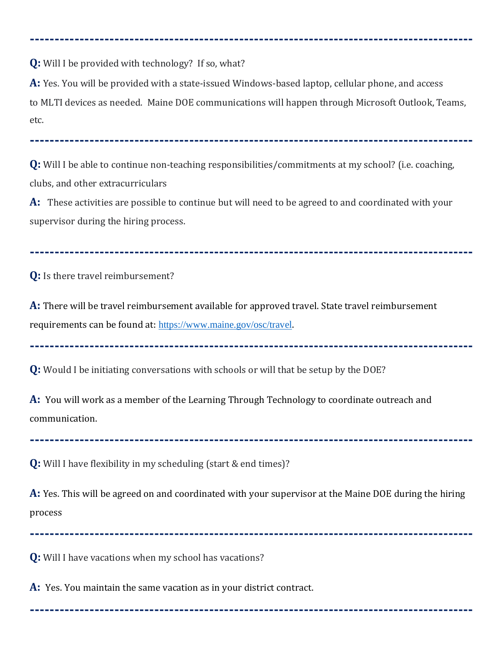**Q:** Will I be provided with technology? If so, what?

**A:** Yes. You will be provided with a state-issued Windows-based laptop, cellular phone, and access to MLTI devices as needed. Maine DOE communications will happen through Microsoft Outlook, Teams, etc.

**-----------------------------------------------------------------------------------------**

**-----------------------------------------------------------------------------------------**

**Q:** Will I be able to continue non-teaching responsibilities/commitments at my school? (i.e. coaching, clubs, and other extracurriculars

**A:** These activities are possible to continue but will need to be agreed to and coordinated with your supervisor during the hiring process.

**-----------------------------------------------------------------------------------------**

**Q:** Is there travel reimbursement?

**A:** There will be travel reimbursement available for approved travel. State travel reimbursement requirements can be found at: <https://www.maine.gov/osc/travel>.

**-----------------------------------------------------------------------------------------**

**Q:** Would I be initiating conversations with schools or will that be setup by the DOE?

**A:** You will work as a member of the Learning Through Technology to coordinate outreach and communication.

**Q:** Will I have flexibility in my scheduling (start & end times)?

**A:** Yes. This will be agreed on and coordinated with your supervisor at the Maine DOE during the hiring process

**-----------------------------------------------------------------------------------------**

**-----------------------------------------------------------------------------------------**

**-----------------------------------------------------------------------------------------**

**Q:** Will I have vacations when my school has vacations?

**A:** Yes. You maintain the same vacation as in your district contract.